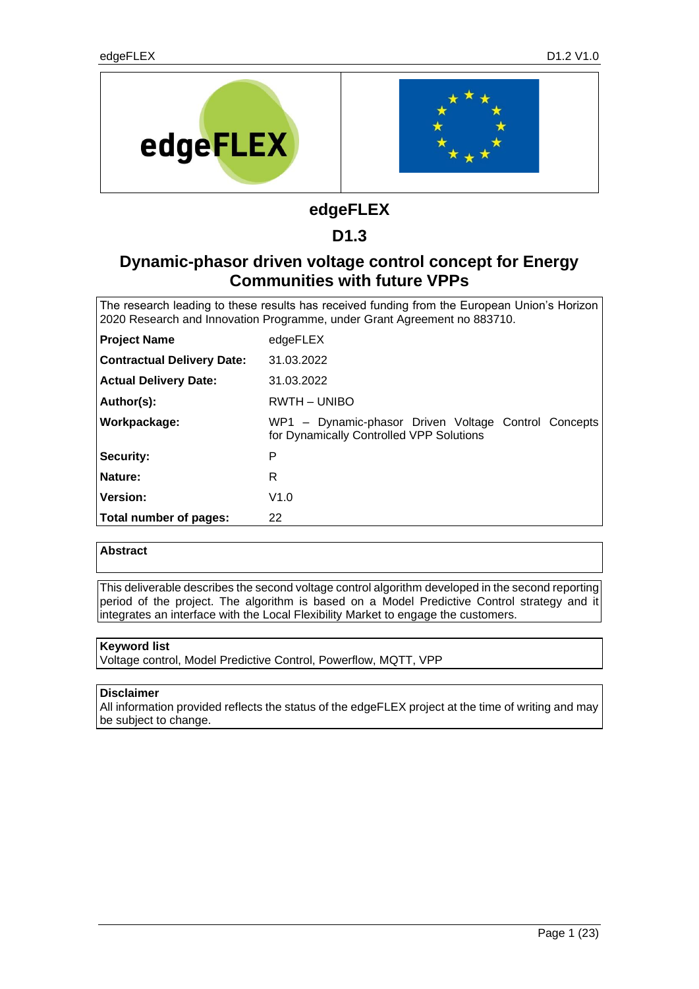

# **edgeFLEX**

## **D1.3**

# **Dynamic-phasor driven voltage control concept for Energy Communities with future VPPs**

The research leading to these results has received funding from the European Union's Horizon 2020 Research and Innovation Programme, under Grant Agreement no 883710.

| <b>Project Name</b>               | edgeFLEX                                                                                         |
|-----------------------------------|--------------------------------------------------------------------------------------------------|
| <b>Contractual Delivery Date:</b> | 31.03.2022                                                                                       |
| <b>Actual Delivery Date:</b>      | 31.03.2022                                                                                       |
| Author(s):                        | RWTH - UNIBO                                                                                     |
| Workpackage:                      | WP1 - Dynamic-phasor Driven Voltage Control Concepts<br>for Dynamically Controlled VPP Solutions |
| Security:                         | P                                                                                                |
| Nature:                           | R                                                                                                |
| <b>Version:</b>                   | V1.0                                                                                             |
| Total number of pages:            | 22                                                                                               |

#### **Abstract**

This deliverable describes the second voltage control algorithm developed in the second reporting period of the project. The algorithm is based on a Model Predictive Control strategy and it integrates an interface with the Local Flexibility Market to engage the customers.

#### **Keyword list**

Voltage control, Model Predictive Control, Powerflow, MQTT, VPP

#### **Disclaimer**

All information provided reflects the status of the edgeFLEX project at the time of writing and may be subject to change.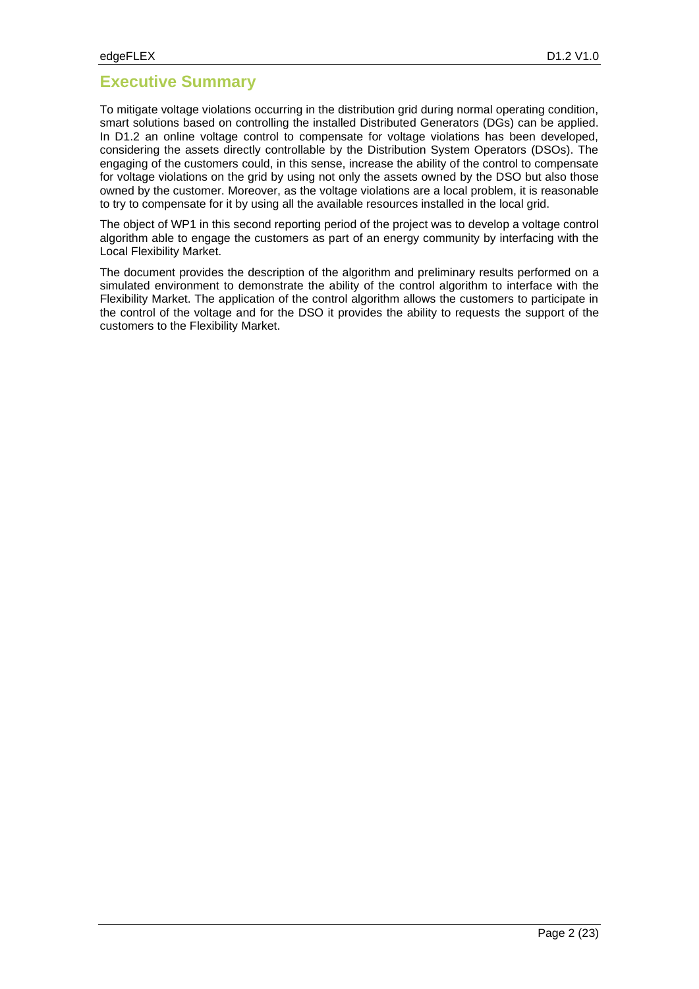## **Executive Summary**

To mitigate voltage violations occurring in the distribution grid during normal operating condition, smart solutions based on controlling the installed Distributed Generators (DGs) can be applied. In D1.2 an online voltage control to compensate for voltage violations has been developed, considering the assets directly controllable by the Distribution System Operators (DSOs). The engaging of the customers could, in this sense, increase the ability of the control to compensate for voltage violations on the grid by using not only the assets owned by the DSO but also those owned by the customer. Moreover, as the voltage violations are a local problem, it is reasonable to try to compensate for it by using all the available resources installed in the local grid.

The object of WP1 in this second reporting period of the project was to develop a voltage control algorithm able to engage the customers as part of an energy community by interfacing with the Local Flexibility Market.

The document provides the description of the algorithm and preliminary results performed on a simulated environment to demonstrate the ability of the control algorithm to interface with the Flexibility Market. The application of the control algorithm allows the customers to participate in the control of the voltage and for the DSO it provides the ability to requests the support of the customers to the Flexibility Market.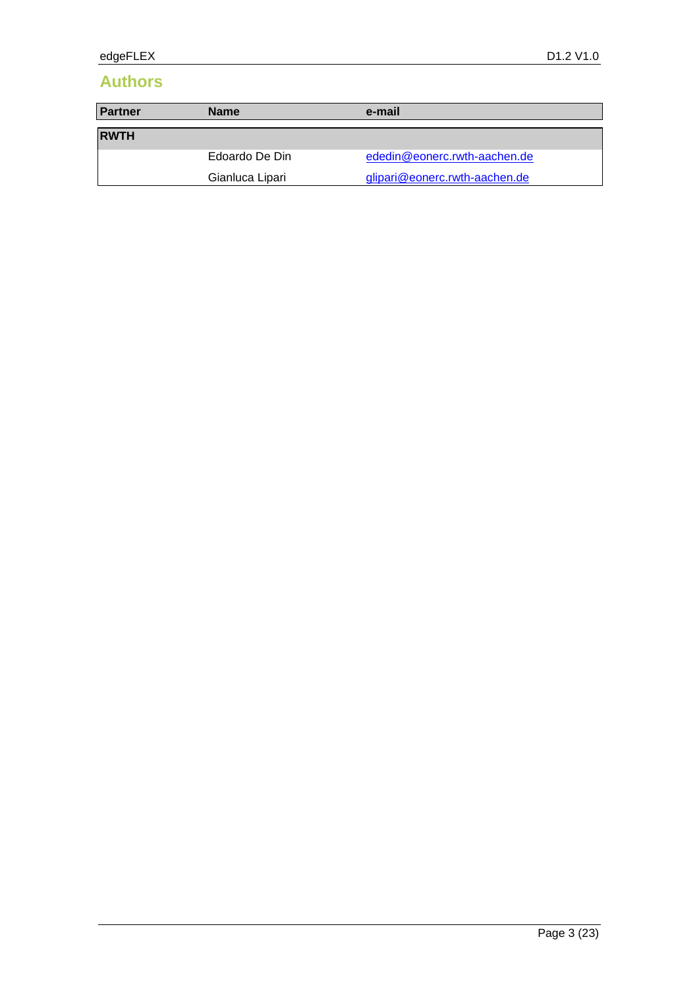# **Authors**

| <b>Partner</b><br><b>Name</b> |                 | e-mail                        |  |  |  |  |
|-------------------------------|-----------------|-------------------------------|--|--|--|--|
| <b>RWTH</b>                   |                 |                               |  |  |  |  |
|                               |                 |                               |  |  |  |  |
|                               | Edoardo De Din  | ededin@eonerc.rwth-aachen.de  |  |  |  |  |
|                               | Gianluca Lipari | glipari@eonerc.rwth-aachen.de |  |  |  |  |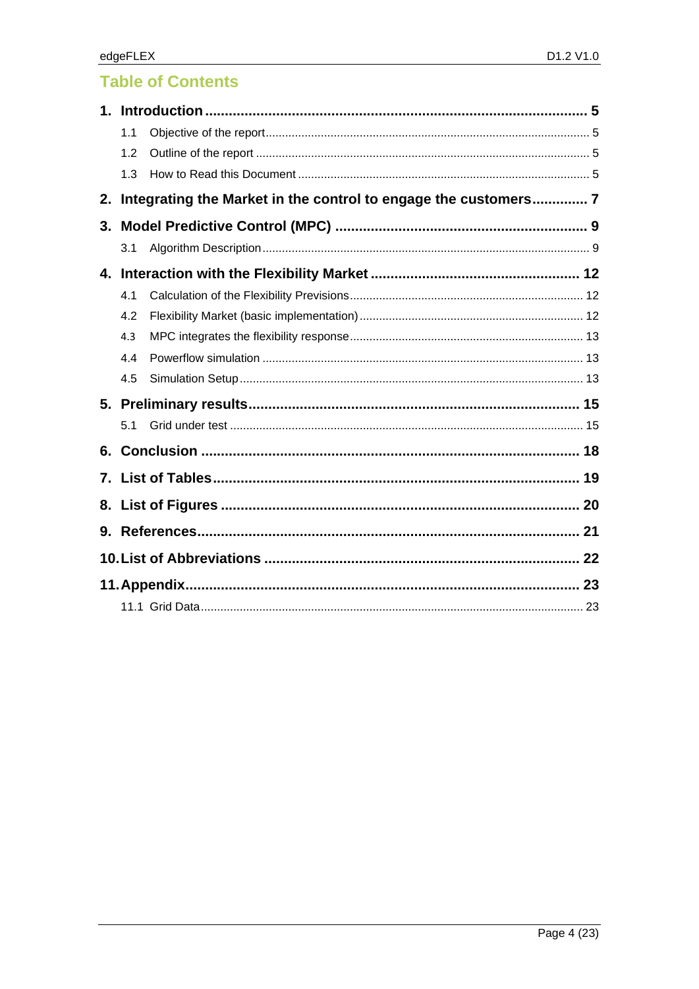# **Table of Contents**

| $\mathbf 1$ . |     |                                                                 |  |  |  |
|---------------|-----|-----------------------------------------------------------------|--|--|--|
|               | 1.1 |                                                                 |  |  |  |
|               | 1.2 |                                                                 |  |  |  |
|               | 1.3 |                                                                 |  |  |  |
| 2.            |     | Integrating the Market in the control to engage the customers 7 |  |  |  |
| 3.            |     |                                                                 |  |  |  |
|               | 3.1 |                                                                 |  |  |  |
| 4.            |     |                                                                 |  |  |  |
|               | 4.1 |                                                                 |  |  |  |
|               | 4.2 |                                                                 |  |  |  |
|               | 4.3 |                                                                 |  |  |  |
|               | 4.4 |                                                                 |  |  |  |
|               | 4.5 |                                                                 |  |  |  |
|               |     |                                                                 |  |  |  |
|               | 5.1 |                                                                 |  |  |  |
| 6.            |     |                                                                 |  |  |  |
| 7.            |     |                                                                 |  |  |  |
| 8.            |     |                                                                 |  |  |  |
| 9.            |     |                                                                 |  |  |  |
|               |     |                                                                 |  |  |  |
|               |     |                                                                 |  |  |  |
|               |     |                                                                 |  |  |  |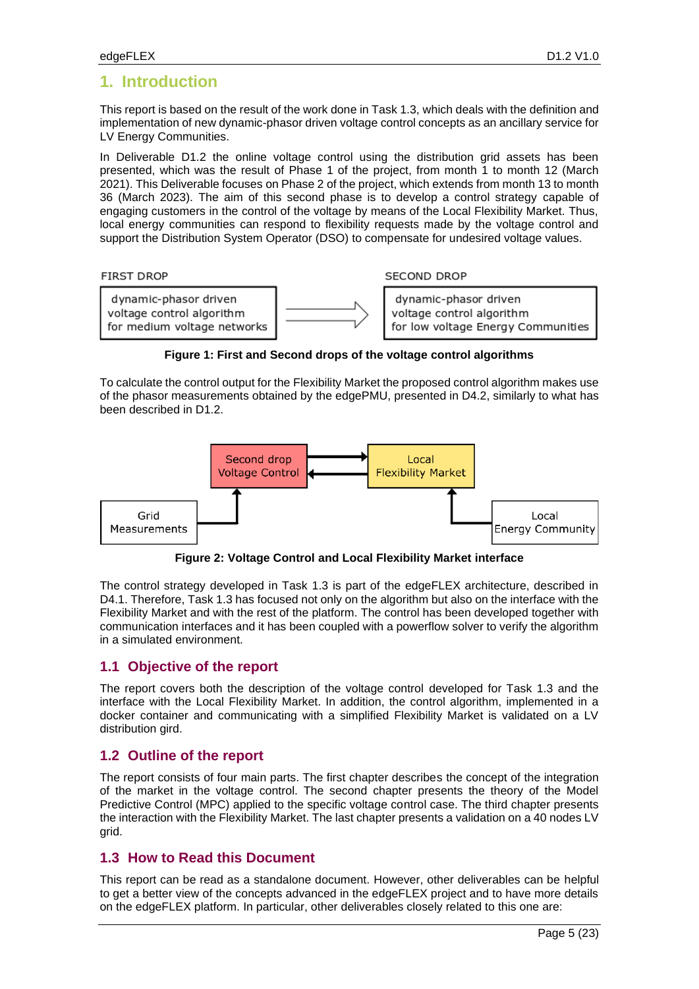## **1. Introduction**

This report is based on the result of the work done in Task 1.3, which deals with the definition and implementation of new dynamic-phasor driven voltage control concepts as an ancillary service for LV Energy Communities.

In Deliverable D1.2 the online voltage control using the distribution grid assets has been presented, which was the result of Phase 1 of the project, from month 1 to month 12 (March 2021). This Deliverable focuses on Phase 2 of the project, which extends from month 13 to month 36 (March 2023). The aim of this second phase is to develop a control strategy capable of engaging customers in the control of the voltage by means of the Local Flexibility Market. Thus, local energy communities can respond to flexibility requests made by the voltage control and support the Distribution System Operator (DSO) to compensate for undesired voltage values.



**SECOND DROP** 



**Figure 1: First and Second drops of the voltage control algorithms**

<span id="page-4-0"></span>To calculate the control output for the Flexibility Market the proposed control algorithm makes use of the phasor measurements obtained by the edgePMU, presented in D4.2, similarly to what has been described in D1.2.



**Figure 2: Voltage Control and Local Flexibility Market interface**

<span id="page-4-1"></span>The control strategy developed in Task 1.3 is part of the edgeFLEX architecture, described in D4.1. Therefore, Task 1.3 has focused not only on the algorithm but also on the interface with the Flexibility Market and with the rest of the platform. The control has been developed together with communication interfaces and it has been coupled with a powerflow solver to verify the algorithm in a simulated environment.

### **1.1 Objective of the report**

The report covers both the description of the voltage control developed for Task 1.3 and the interface with the Local Flexibility Market. In addition, the control algorithm, implemented in a docker container and communicating with a simplified Flexibility Market is validated on a LV distribution gird.

### **1.2 Outline of the report**

The report consists of four main parts. The first chapter describes the concept of the integration of the market in the voltage control. The second chapter presents the theory of the Model Predictive Control (MPC) applied to the specific voltage control case. The third chapter presents the interaction with the Flexibility Market. The last chapter presents a validation on a 40 nodes LV grid.

### **1.3 How to Read this Document**

This report can be read as a standalone document. However, other deliverables can be helpful to get a better view of the concepts advanced in the edgeFLEX project and to have more details on the edgeFLEX platform. In particular, other deliverables closely related to this one are: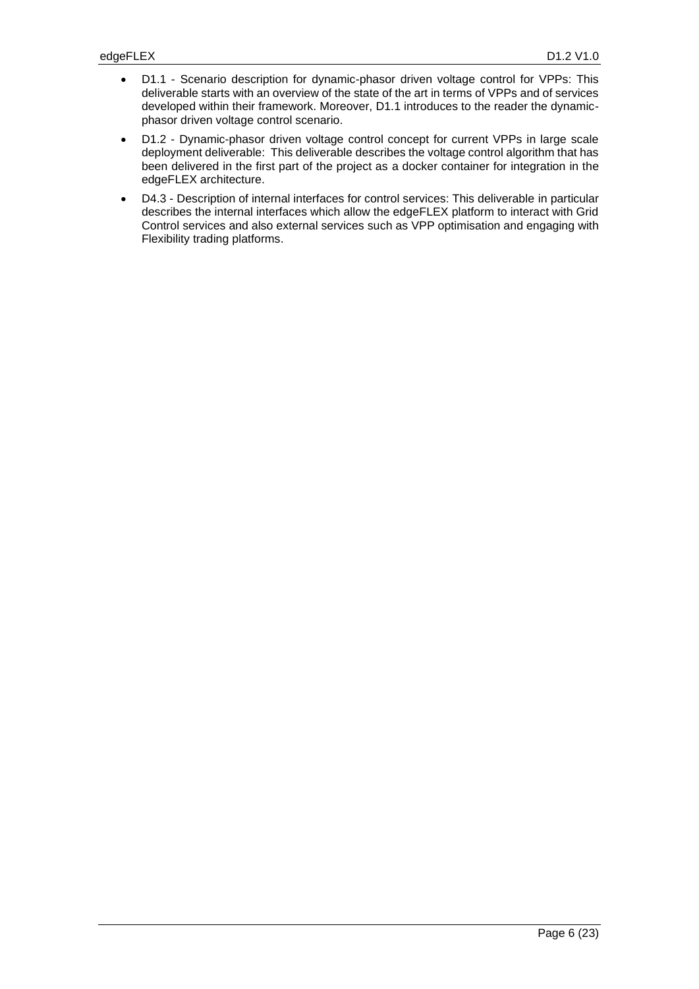- D1.1 Scenario description for dynamic-phasor driven voltage control for VPPs: This deliverable starts with an overview of the state of the art in terms of VPPs and of services developed within their framework. Moreover, D1.1 introduces to the reader the dynamicphasor driven voltage control scenario.
- D1.2 Dynamic-phasor driven voltage control concept for current VPPs in large scale deployment deliverable: This deliverable describes the voltage control algorithm that has been delivered in the first part of the project as a docker container for integration in the edgeFLEX architecture.
- D4.3 Description of internal interfaces for control services: This deliverable in particular describes the internal interfaces which allow the edgeFLEX platform to interact with Grid Control services and also external services such as VPP optimisation and engaging with Flexibility trading platforms.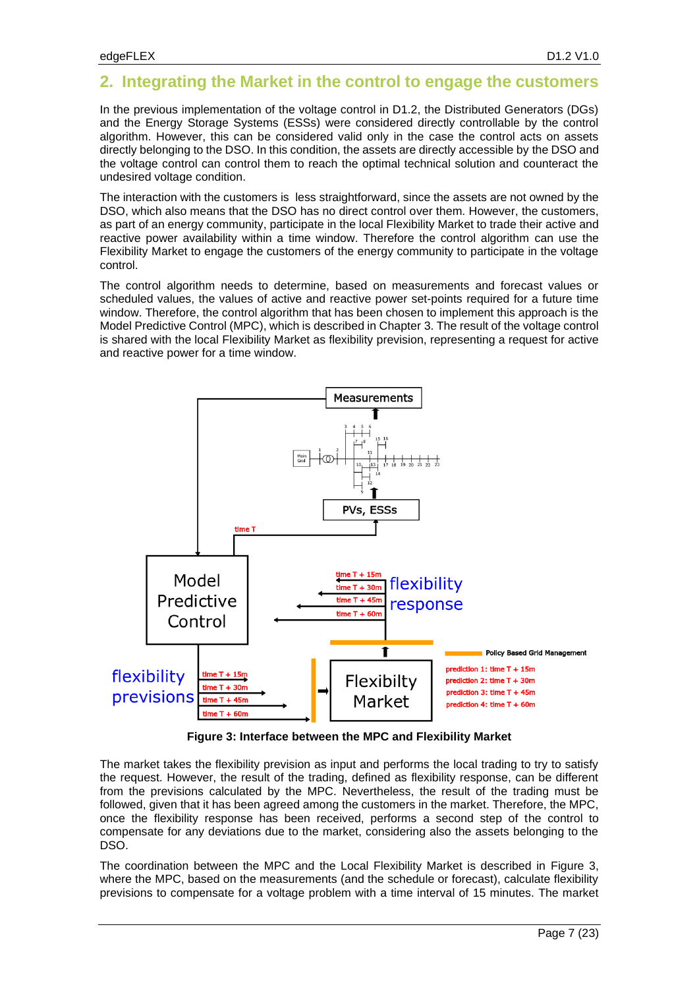### <span id="page-6-1"></span>**2. Integrating the Market in the control to engage the customers**

In the previous implementation of the voltage control in D1.2, the Distributed Generators (DGs) and the Energy Storage Systems (ESSs) were considered directly controllable by the control algorithm. However, this can be considered valid only in the case the control acts on assets directly belonging to the DSO. In this condition, the assets are directly accessible by the DSO and the voltage control can control them to reach the optimal technical solution and counteract the undesired voltage condition.

The interaction with the customers is less straightforward, since the assets are not owned by the DSO, which also means that the DSO has no direct control over them. However, the customers, as part of an energy community, participate in the local Flexibility Market to trade their active and reactive power availability within a time window. Therefore the control algorithm can use the Flexibility Market to engage the customers of the energy community to participate in the voltage control.

The control algorithm needs to determine, based on measurements and forecast values or scheduled values, the values of active and reactive power set-points required for a future time window. Therefore, the control algorithm that has been chosen to implement this approach is the Model Predictive Control (MPC), which is described in Chapter [3.](#page-8-0) The result of the voltage control is shared with the local Flexibility Market as flexibility prevision, representing a request for active and reactive power for a time window.



**Figure 3: Interface between the MPC and Flexibility Market**

<span id="page-6-0"></span>The market takes the flexibility prevision as input and performs the local trading to try to satisfy the request. However, the result of the trading, defined as flexibility response, can be different from the previsions calculated by the MPC. Nevertheless, the result of the trading must be followed, given that it has been agreed among the customers in the market. Therefore, the MPC, once the flexibility response has been received, performs a second step of the control to compensate for any deviations due to the market, considering also the assets belonging to the DSO.

The coordination between the MPC and the Local Flexibility Market is described in [Figure 3,](#page-6-0) where the MPC, based on the measurements (and the schedule or forecast), calculate flexibility previsions to compensate for a voltage problem with a time interval of 15 minutes. The market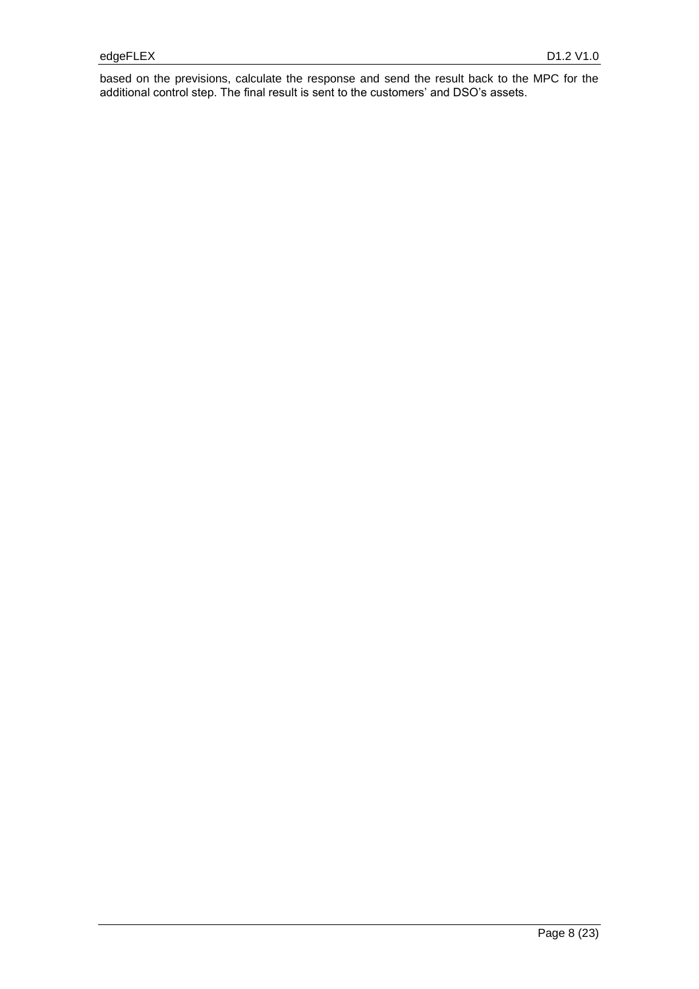based on the previsions, calculate the response and send the result back to the MPC for the additional control step. The final result is sent to the customers' and DSO's assets.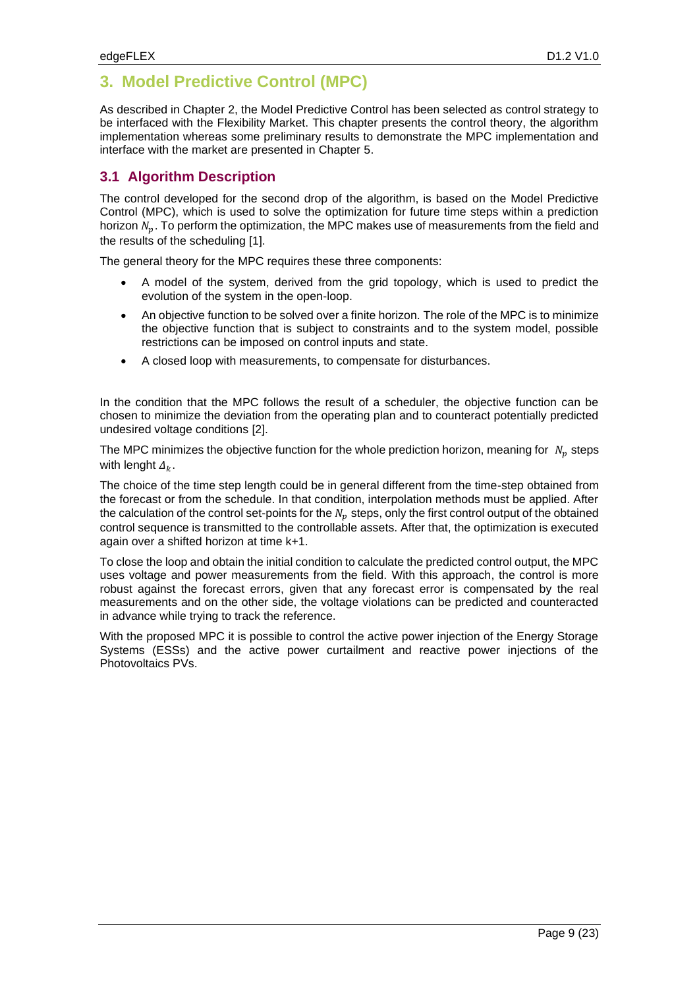## <span id="page-8-0"></span>**3. Model Predictive Control (MPC)**

As described in Chapter [2,](#page-6-1) the Model Predictive Control has been selected as control strategy to be interfaced with the Flexibility Market. This chapter presents the control theory, the algorithm implementation whereas some preliminary results to demonstrate the MPC implementation and interface with the market are presented in Chapter [5.](#page-14-0)

### **3.1 Algorithm Description**

The control developed for the second drop of the algorithm, is based on the Model Predictive Control (MPC), which is used to solve the optimization for future time steps within a prediction horizon  $N_n$ . To perform the optimization, the MPC makes use of measurements from the field and the results of the scheduling [1].

The general theory for the MPC requires these three components:

- A model of the system, derived from the grid topology, which is used to predict the evolution of the system in the open-loop.
- An objective function to be solved over a finite horizon. The role of the MPC is to minimize the objective function that is subject to constraints and to the system model, possible restrictions can be imposed on control inputs and state.
- A closed loop with measurements, to compensate for disturbances.

In the condition that the MPC follows the result of a scheduler, the objective function can be chosen to minimize the deviation from the operating plan and to counteract potentially predicted undesired voltage conditions [2].

The MPC minimizes the objective function for the whole prediction horizon, meaning for  $N_n$  steps with lenght  $\Delta_k$ .

The choice of the time step length could be in general different from the time-step obtained from the forecast or from the schedule. In that condition, interpolation methods must be applied. After the calculation of the control set-points for the  $N<sub>n</sub>$  steps, only the first control output of the obtained control sequence is transmitted to the controllable assets. After that, the optimization is executed again over a shifted horizon at time k+1.

To close the loop and obtain the initial condition to calculate the predicted control output, the MPC uses voltage and power measurements from the field. With this approach, the control is more robust against the forecast errors, given that any forecast error is compensated by the real measurements and on the other side, the voltage violations can be predicted and counteracted in advance while trying to track the reference.

With the proposed MPC it is possible to control the active power injection of the Energy Storage Systems (ESSs) and the active power curtailment and reactive power injections of the Photovoltaics PVs.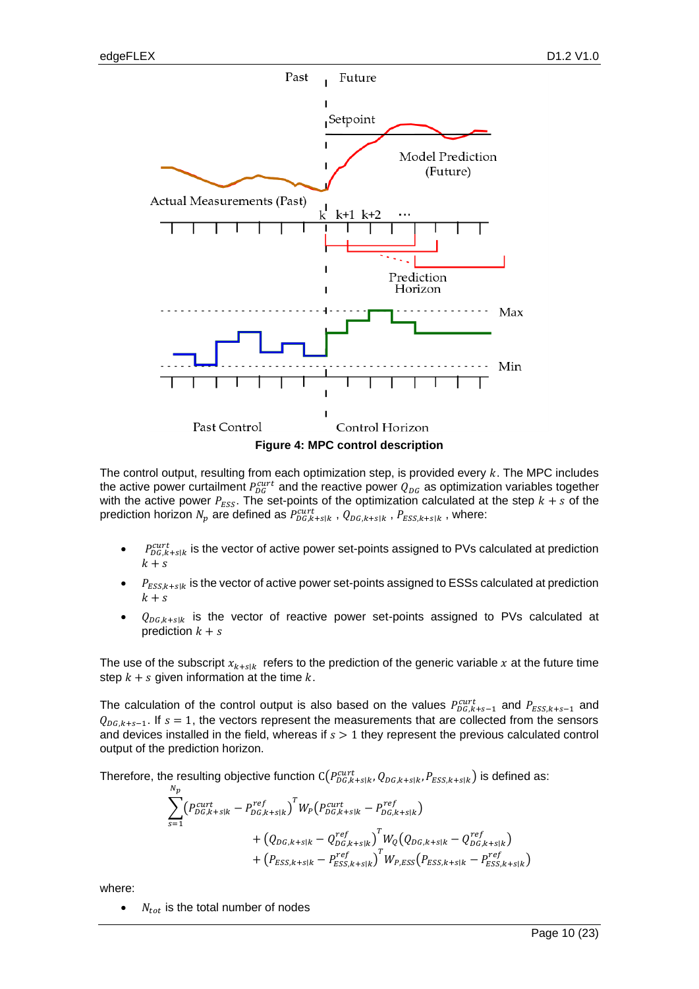

<span id="page-9-0"></span>The control output, resulting from each optimization step, is provided every  $k$ . The MPC includes the active power curtailment  $P_{DG}^{curt}$  and the reactive power  $Q_{DG}$  as optimization variables together with the active power  $P_{ESS}$ . The set-points of the optimization calculated at the step  $k + s$  of the prediction horizon  $N_p$  are defined as  $P^{curt}_{DG,k+s|k}$  ,  $Q_{DG,k+s|k}$  ,  $P_{ESS,k+s|k}$  , where:

- $P_{DG,k+s|k}^{curr}$  is the vector of active power set-points assigned to PVs calculated at prediction  $k+s$
- $P_{ESS, k+s|k}$  is the vector of active power set-points assigned to ESSs calculated at prediction  $k+s$
- $Q_{DG,k+s|k}$  is the vector of reactive power set-points assigned to PVs calculated at prediction  $k + s$

The use of the subscript  $x_{k+s|k}$  refers to the prediction of the generic variable x at the future time step  $k + s$  given information at the time  $k$ .

The calculation of the control output is also based on the values  $P_{DG,k+s-1}^{cut}$  and  $P_{ESS,k+s-1}$  and  $Q_{DG,k+s-1}$ . If  $s = 1$ , the vectors represent the measurements that are collected from the sensors and devices installed in the field, whereas if  $s > 1$  they represent the previous calculated control output of the prediction horizon.

Therefore, the resulting objective function  $\mathsf{C}(P^{curt}_{DG,k+s|k},Q_{DG,k+s|k},P_{ESS,k+s|k})$  is defined as:

$$
\sum_{s=1}^{N_p} (P_{DG,k+s|k}^{cut} - P_{DG,k+s|k}^{ref})^T W_P (P_{DG,k+s|k}^{cut} - P_{DG,k+s|k}^{ref})
$$
  
+  $(Q_{DG,k+s|k} - Q_{DG,k+s|k}^{ref})^T W_Q (Q_{DG,k+s|k} - Q_{DG,k+s|k}^{ref})$   
+  $(P_{ESS,k+s|k} - P_{ESS,k+s|k}^{ref})^T W_{P,ESS} (P_{ESS,k+s|k} - P_{ESS,k+s|k}^{ref})$ 

where:

•  $N_{tot}$  is the total number of nodes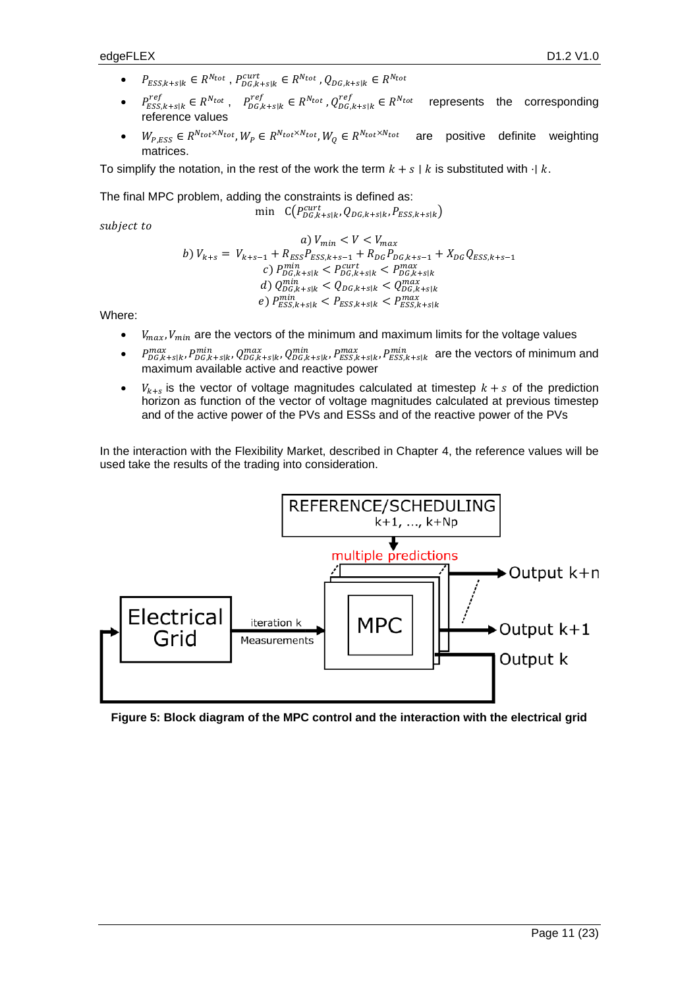- $P_{ESS,k+s|k} \in R^{N_{tot}}$ ,  $P_{DG,k+s|k}^{cutt} \in R^{N_{tot}}$ ,  $Q_{DG,k+s|k} \in R^{N_{tot}}$
- $P_{ESS,k+s|k}^{ref} \in R^{N_{tot}}$ ,  $P_{DG,k+s|k}^{ref} \in R^{N_{tot}}$ ,  $Q_{DG,k+s|k}^{ref} \in R$  represents the corresponding reference values
- $W_{P,ESS} \in R^{N_{tot} \times N_{tot}}, W_P \in R^{N_{tot} \times N_{tot}}, W_Q \in R^{N_{tot} \times N_{tot}}$  are positive definite weighting matrices.

To simplify the notation, in the rest of the work the term  $k + s \mid k$  is substituted with  $\cdot \mid k$ .

The final MPC problem, adding the constraints is defined as: min  $C(P_{DG,k+s|k}^{cut}, Q_{DG,k+s|k}, P_{ESS,k+s|k})$ 

subject to

\n
$$
\begin{aligned}\n a) \, V_{\min} &< V < V_{\max} \\
 b) \, V_{k+s} &= V_{k+s-1} + R_{ESS} P_{ESS,k+s-1} + R_{DG} P_{DG,k+s-1} + X_{DG} Q_{ESS,k+s-1} \\
 c) \, P_{DG,k+s|k}^{min} < P_{DG,k+s|k}^{count} < P_{DG,k+s|k}^{max} \\
 d) \, Q_{DG,k+s|k}^{min} < Q_{DG,k+s|k} < Q_{DG,k+s|k}^{max} \\
 e) \, P_{ESS,k+s|k}^{min} < P_{ESS,k+s|k} < P_{ESS,k+s|k}^{max}\n \end{aligned}
$$
\n

Where:

- $V_{max}$ ,  $V_{min}$  are the vectors of the minimum and maximum limits for the voltage values
- $P_{DG,k+s|k}^{max}, P_{DG,k+s|k}^{min}, Q_{DG,k+s|k}^{max}, Q_{DG,k+s|k}^{min}, P_{ESS,k+s|k}^{min}, P_{ESS,k+s|k}^{min}$  are the vectors of minimum and maximum available active and reactive power
- $V_{k+s}$  is the vector of voltage magnitudes calculated at timestep  $k+s$  of the prediction horizon as function of the vector of voltage magnitudes calculated at previous timestep and of the active power of the PVs and ESSs and of the reactive power of the PVs

In the interaction with the Flexibility Market, described in Chapter [4,](#page-11-0) the reference values will be used take the results of the trading into consideration.



<span id="page-10-0"></span>**Figure 5: Block diagram of the MPC control and the interaction with the electrical grid**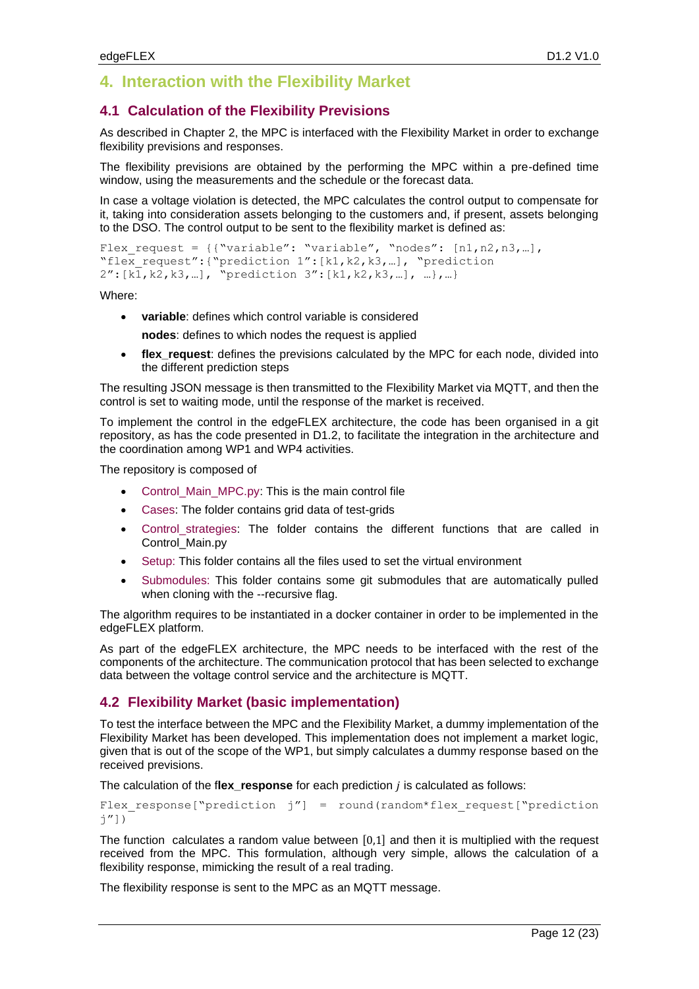## <span id="page-11-0"></span>**4. Interaction with the Flexibility Market**

#### **4.1 Calculation of the Flexibility Previsions**

As described in Chapter [2,](#page-6-1) the MPC is interfaced with the Flexibility Market in order to exchange flexibility previsions and responses.

The flexibility previsions are obtained by the performing the MPC within a pre-defined time window, using the measurements and the schedule or the forecast data.

In case a voltage violation is detected, the MPC calculates the control output to compensate for it, taking into consideration assets belonging to the customers and, if present, assets belonging to the DSO. The control output to be sent to the flexibility market is defined as:

```
Flex request = ({\text{``variable'': "variable''}, \text{``nodes'': } [n1,n2,n3,...]},"flex request":{"prediction 1":[k1,k2,k3,...], "prediction
2":[k1,k2,k3,…], "prediction 3":[k1,k2,k3,…], …},…}
```
Where:

- **variable**: defines which control variable is considered **nodes**: defines to which nodes the request is applied
- **flex\_request**: defines the previsions calculated by the MPC for each node, divided into the different prediction steps

The resulting JSON message is then transmitted to the Flexibility Market via MQTT, and then the control is set to waiting mode, until the response of the market is received.

To implement the control in the edgeFLEX architecture, the code has been organised in a git repository, as has the code presented in D1.2, to facilitate the integration in the architecture and the coordination among WP1 and WP4 activities.

The repository is composed of

- Control\_Main\_MPC.py: This is the main control file
- Cases: The folder contains grid data of test-grids
- Control\_strategies: The folder contains the different functions that are called in Control\_Main.py
- Setup: This folder contains all the files used to set the virtual environment
- Submodules: This folder contains some git submodules that are automatically pulled when cloning with the --recursive flag.

The algorithm requires to be instantiated in a docker container in order to be implemented in the edgeFLEX platform.

As part of the edgeFLEX architecture, the MPC needs to be interfaced with the rest of the components of the architecture. The communication protocol that has been selected to exchange data between the voltage control service and the architecture is MQTT.

#### **4.2 Flexibility Market (basic implementation)**

To test the interface between the MPC and the Flexibility Market, a dummy implementation of the Flexibility Market has been developed. This implementation does not implement a market logic, given that is out of the scope of the WP1, but simply calculates a dummy response based on the received previsions.

The calculation of the f**lex\_response** for each prediction is calculated as follows:

Flex response["prediction  $j''$ ] = round(random\*flex request["prediction j"])

The function calculates a random value between  $[0,1]$  and then it is multiplied with the request received from the MPC. This formulation, although very simple, allows the calculation of a flexibility response, mimicking the result of a real trading.

The flexibility response is sent to the MPC as an MQTT message.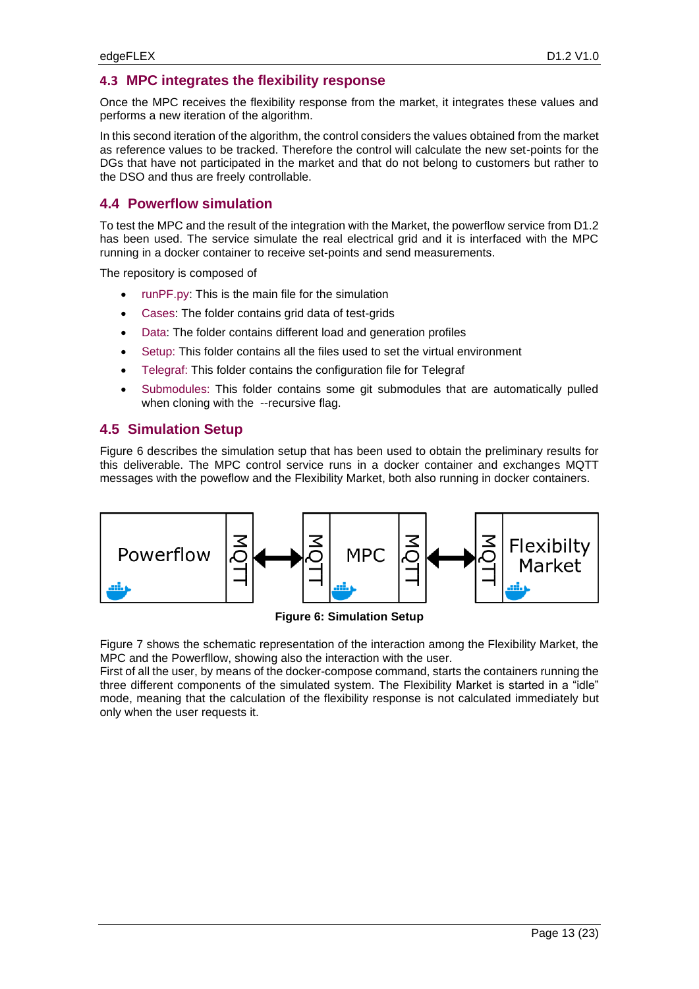#### **4.3 MPC integrates the flexibility response**

Once the MPC receives the flexibility response from the market, it integrates these values and performs a new iteration of the algorithm.

In this second iteration of the algorithm, the control considers the values obtained from the market as reference values to be tracked. Therefore the control will calculate the new set-points for the DGs that have not participated in the market and that do not belong to customers but rather to the DSO and thus are freely controllable.

#### **4.4 Powerflow simulation**

To test the MPC and the result of the integration with the Market, the powerflow service from D1.2 has been used. The service simulate the real electrical grid and it is interfaced with the MPC running in a docker container to receive set-points and send measurements.

The repository is composed of

- runPF.py: This is the main file for the simulation
- Cases: The folder contains grid data of test-grids
- Data: The folder contains different load and generation profiles
- Setup: This folder contains all the files used to set the virtual environment
- Telegraf: This folder contains the configuration file for Telegraf
- Submodules: This folder contains some git submodules that are automatically pulled when cloning with the --recursive flag.

#### **4.5 Simulation Setup**

[Figure 6](#page-12-0) describes the simulation setup that has been used to obtain the preliminary results for this deliverable. The MPC control service runs in a docker container and exchanges MQTT messages with the poweflow and the Flexibility Market, both also running in docker containers.



**Figure 6: Simulation Setup**

<span id="page-12-0"></span>[Figure 7](#page-13-0) shows the schematic representation of the interaction among the Flexibility Market, the MPC and the Powerfllow, showing also the interaction with the user.

First of all the user, by means of the docker-compose command, starts the containers running the three different components of the simulated system. The Flexibility Market is started in a "idle" mode, meaning that the calculation of the flexibility response is not calculated immediately but only when the user requests it.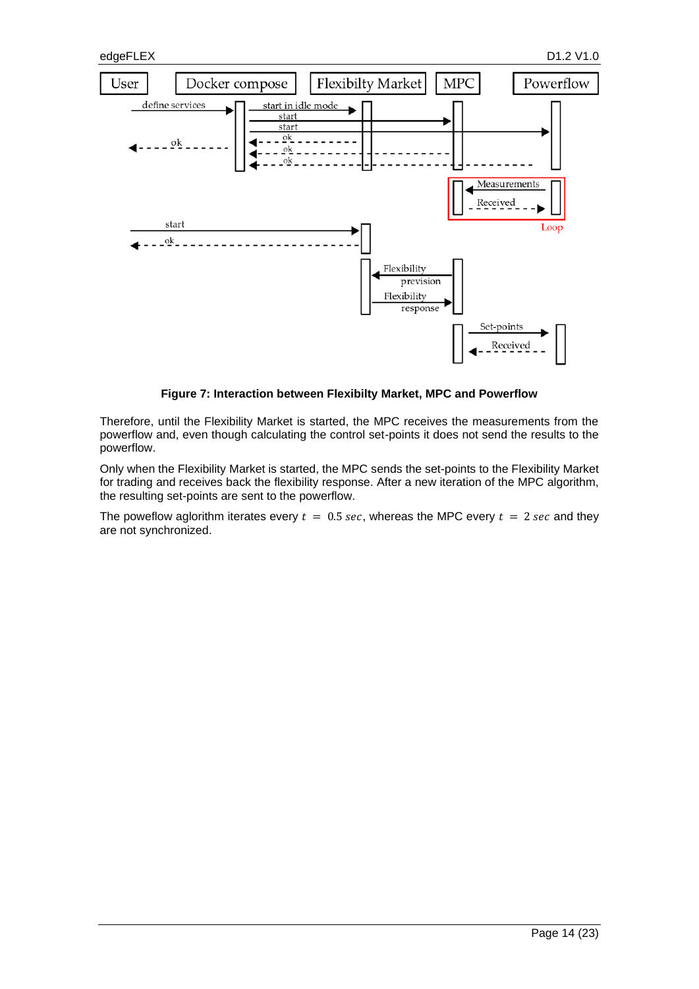

**Figure 7: Interaction between Flexibilty Market, MPC and Powerflow**

<span id="page-13-0"></span>Therefore, until the Flexibility Market is started, the MPC receives the measurements from the powerflow and, even though calculating the control set-points it does not send the results to the powerflow.

Only when the Flexibility Market is started, the MPC sends the set-points to the Flexibility Market for trading and receives back the flexibility response. After a new iteration of the MPC algorithm, the resulting set-points are sent to the powerflow.

The poweflow aglorithm iterates every  $t = 0.5$  sec, whereas the MPC every  $t = 2$  sec and they are not synchronized.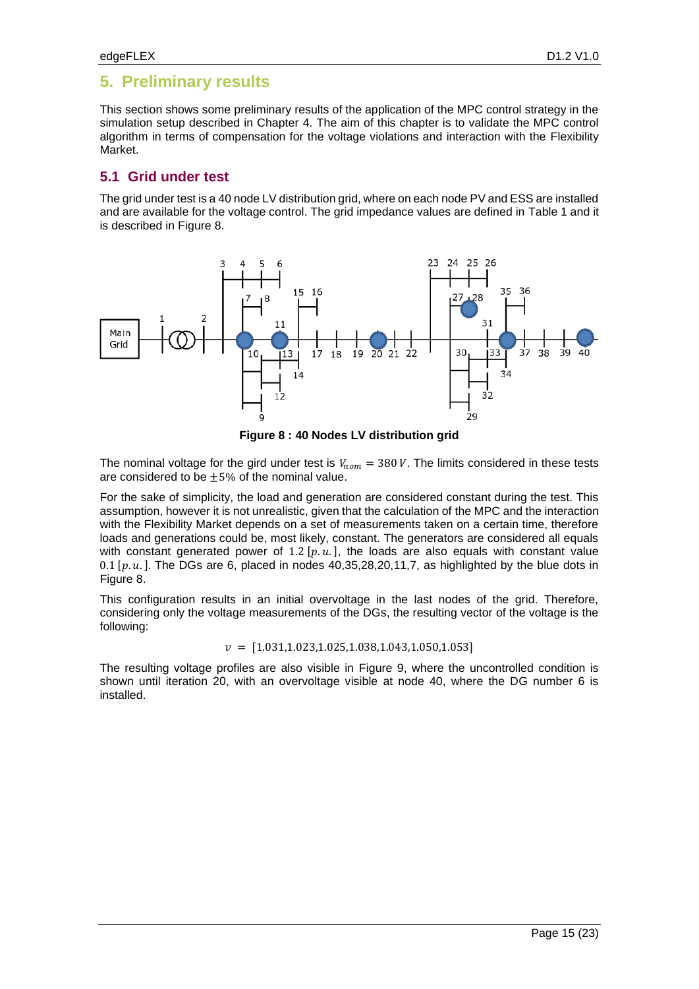## <span id="page-14-0"></span>**5. Preliminary results**

This section shows some preliminary results of the application of the MPC control strategy in the simulation setup described in Chapter [4.](#page-11-0) The aim of this chapter is to validate the MPC control algorithm in terms of compensation for the voltage violations and interaction with the Flexibility Market.

### **5.1 Grid under test**

The grid under test is a 40 node LV distribution grid, where on each node PV and ESS are installed and are available for the voltage control. The grid impedance values are defined in [Table 1](#page-22-0) and it is described in [Figure 8.](#page-14-1)



**Figure 8 : 40 Nodes LV distribution grid**

<span id="page-14-1"></span>The nominal voltage for the gird under test is  $V_{nom} = 380 V$ . The limits considered in these tests are considered to be  $\pm 5%$  of the nominal value.

For the sake of simplicity, the load and generation are considered constant during the test. This assumption, however it is not unrealistic, given that the calculation of the MPC and the interaction with the Flexibility Market depends on a set of measurements taken on a certain time, therefore loads and generations could be, most likely, constant. The generators are considered all equals with constant generated power of 1.2  $[p, u]$ , the loads are also equals with constant value 0.1  $[p, u]$ . The DGs are 6, placed in nodes 40,35,28,20,11,7, as highlighted by the blue dots in [Figure 8.](#page-14-1)

This configuration results in an initial overvoltage in the last nodes of the grid. Therefore, considering only the voltage measurements of the DGs, the resulting vector of the voltage is the following:

 $v = [1.031, 1.023, 1.025, 1.038, 1.043, 1.050, 1.053]$ 

The resulting voltage profiles are also visible in [Figure 9,](#page-15-0) where the uncontrolled condition is shown until iteration 20, with an overvoltage visible at node 40, where the DG number 6 is installed.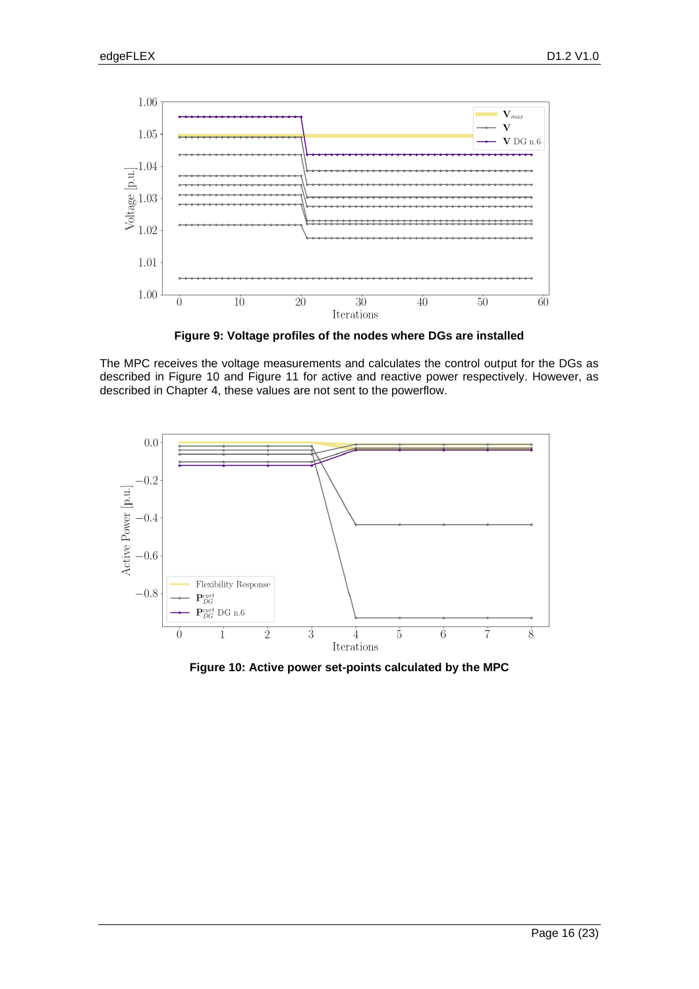

**Figure 9: Voltage profiles of the nodes where DGs are installed**

<span id="page-15-0"></span>The MPC receives the voltage measurements and calculates the control output for the DGs as described in [Figure 10](#page-15-1) and [Figure 11](#page-16-0) for active and reactive power respectively. However, as described in Chapter [4,](#page-11-0) these values are not sent to the powerflow.



<span id="page-15-1"></span>**Figure 10: Active power set-points calculated by the MPC**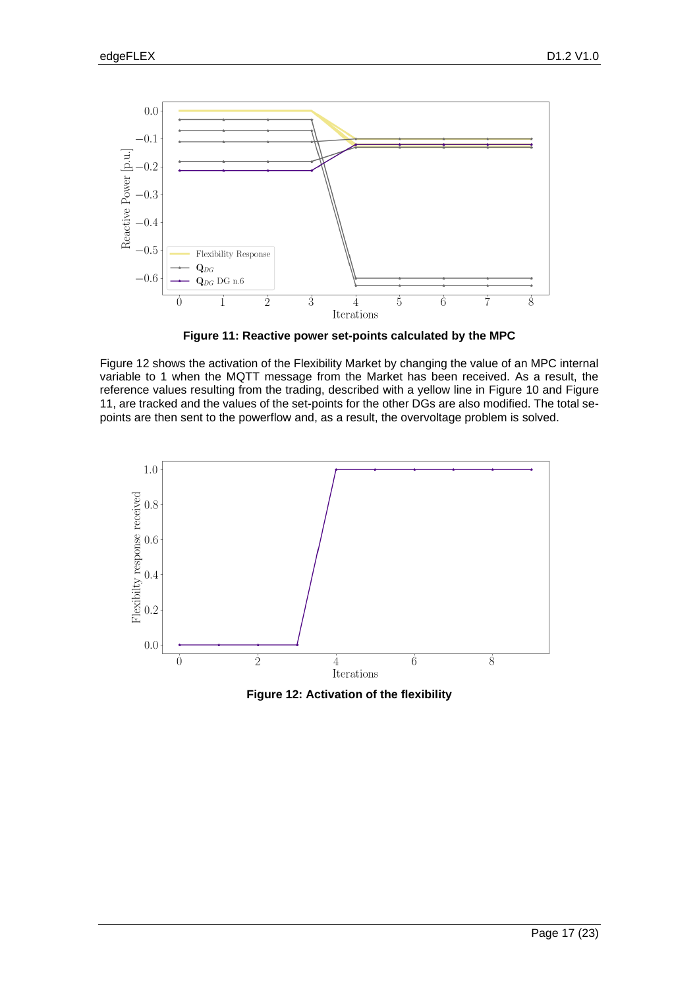

**Figure 11: Reactive power set-points calculated by the MPC**

<span id="page-16-0"></span>[Figure 12](#page-16-1) shows the activation of the Flexibility Market by changing the value of an MPC internal variable to 1 when the MQTT message from the Market has been received. As a result, the reference values resulting from the trading, described with a yellow line in [Figure 10](#page-15-1) and [Figure](#page-16-0)  [11,](#page-16-0) are tracked and the values of the set-points for the other DGs are also modified. The total sepoints are then sent to the powerflow and, as a result, the overvoltage problem is solved.



<span id="page-16-1"></span>**Figure 12: Activation of the flexibility**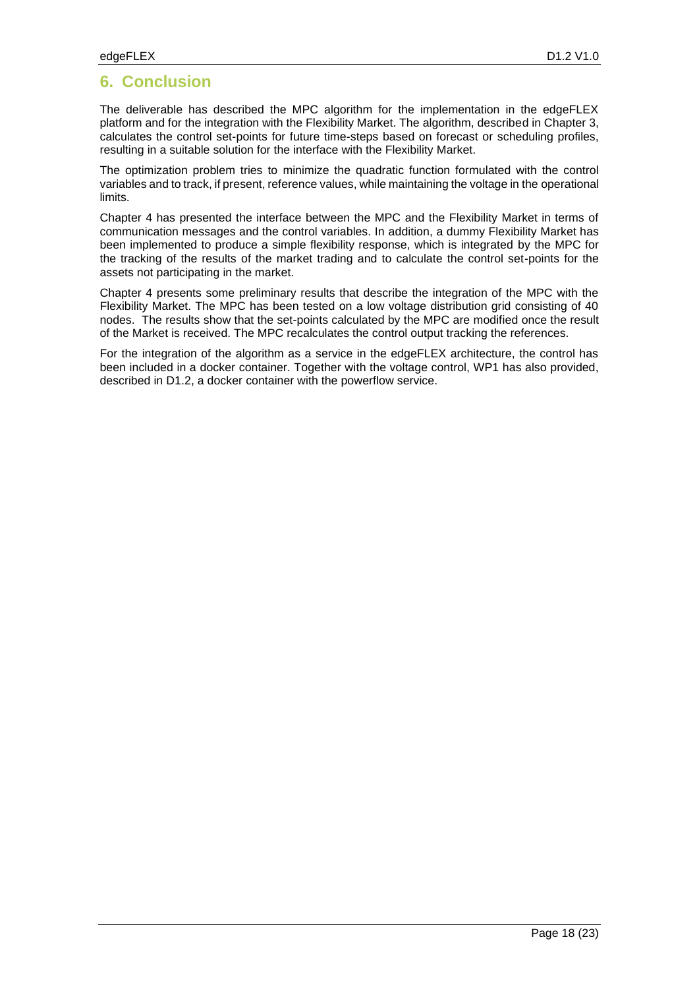# **6. Conclusion**

The deliverable has described the MPC algorithm for the implementation in the edgeFLEX platform and for the integration with the Flexibility Market. The algorithm, described in Chapter [3,](#page-8-0) calculates the control set-points for future time-steps based on forecast or scheduling profiles, resulting in a suitable solution for the interface with the Flexibility Market.

The optimization problem tries to minimize the quadratic function formulated with the control variables and to track, if present, reference values, while maintaining the voltage in the operational limits.

Chapter [4](#page-11-0) has presented the interface between the MPC and the Flexibility Market in terms of communication messages and the control variables. In addition, a dummy Flexibility Market has been implemented to produce a simple flexibility response, which is integrated by the MPC for the tracking of the results of the market trading and to calculate the control set-points for the assets not participating in the market.

Chapter [4](#page-11-0) presents some preliminary results that describe the integration of the MPC with the Flexibility Market. The MPC has been tested on a low voltage distribution grid consisting of 40 nodes. The results show that the set-points calculated by the MPC are modified once the result of the Market is received. The MPC recalculates the control output tracking the references.

For the integration of the algorithm as a service in the edgeFLEX architecture, the control has been included in a docker container. Together with the voltage control, WP1 has also provided, described in D1.2, a docker container with the powerflow service.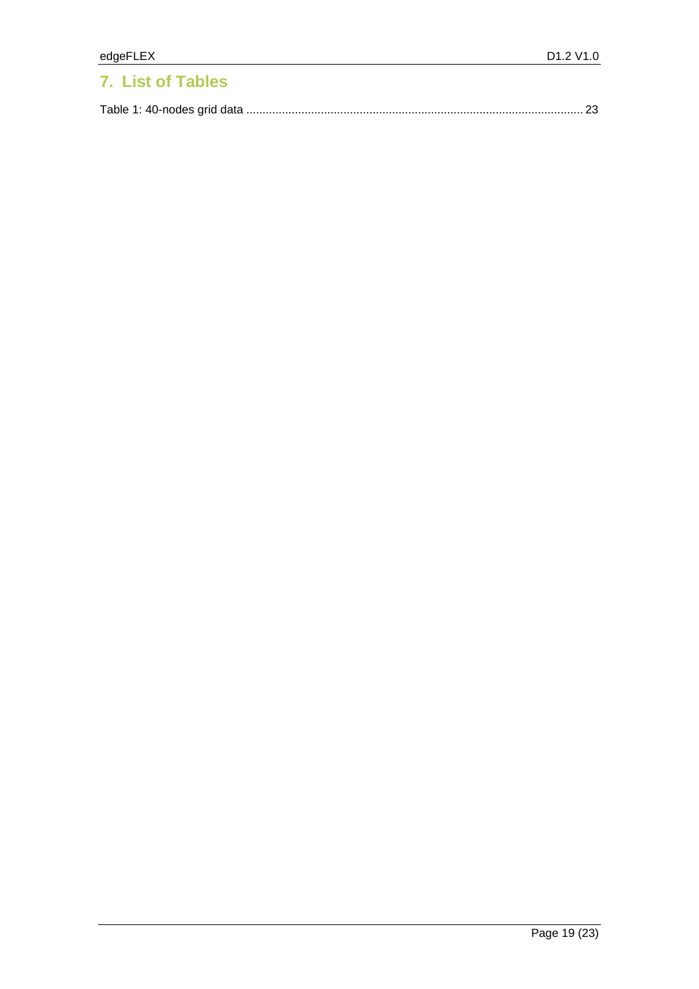# **7. List of Tables**

|--|--|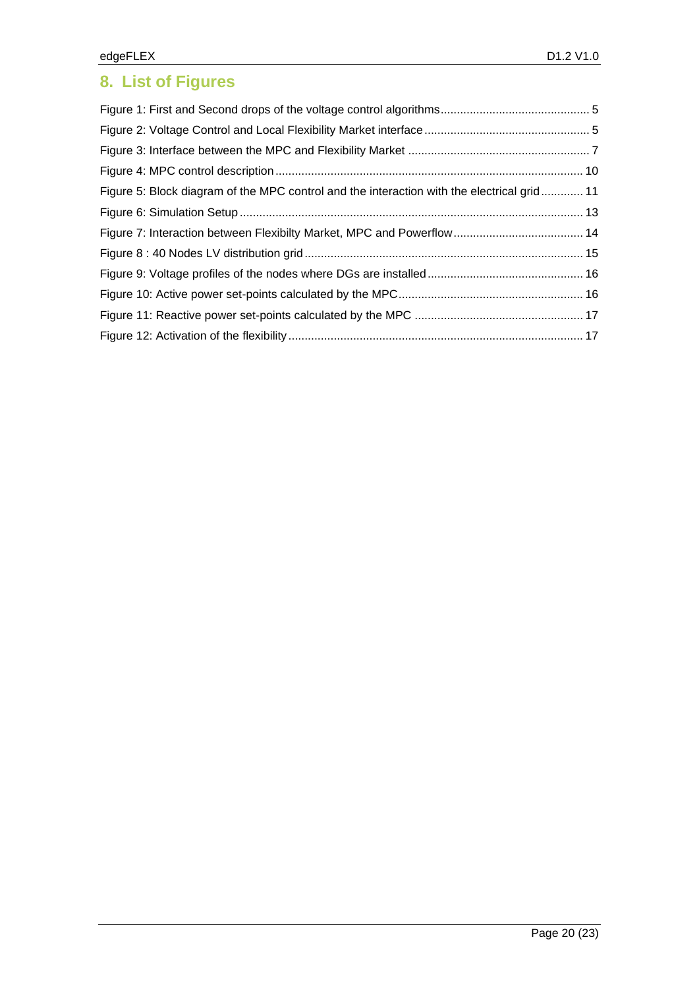# **8. List of Figures**

| Figure 5: Block diagram of the MPC control and the interaction with the electrical grid 11 |  |
|--------------------------------------------------------------------------------------------|--|
|                                                                                            |  |
|                                                                                            |  |
|                                                                                            |  |
|                                                                                            |  |
|                                                                                            |  |
|                                                                                            |  |
|                                                                                            |  |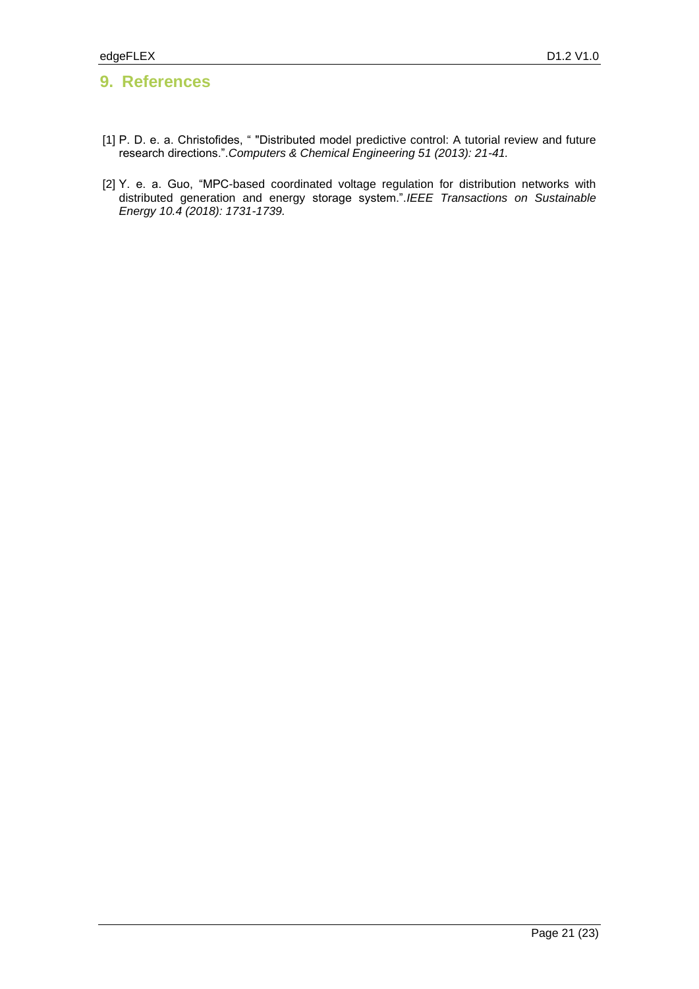## **9. References**

- [1] P. D. e. a. Christofides, " "Distributed model predictive control: A tutorial review and future research directions.".*Computers & Chemical Engineering 51 (2013): 21-41.*
- [2] Y. e. a. Guo, "MPC-based coordinated voltage regulation for distribution networks with distributed generation and energy storage system.".*IEEE Transactions on Sustainable Energy 10.4 (2018): 1731-1739.*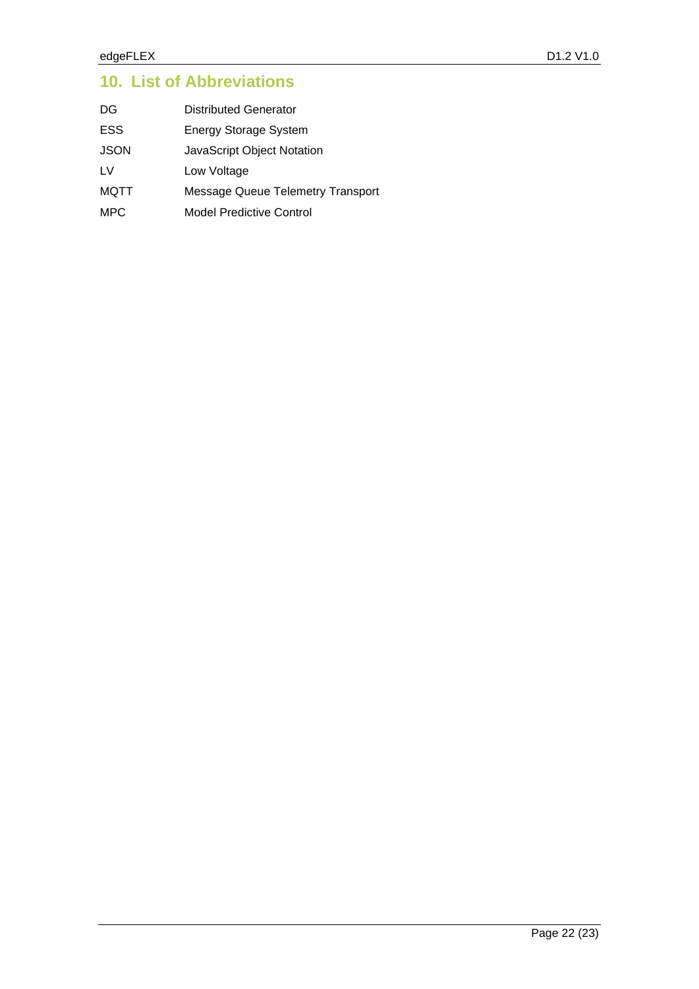# **10. List of Abbreviations**

| DG   | Distributed Generator                    |
|------|------------------------------------------|
| ESS  | <b>Energy Storage System</b>             |
| JSON | JavaScript Object Notation               |
| LV   | Low Voltage                              |
| MQTT | <b>Message Queue Telemetry Transport</b> |
| MPC  | <b>Model Predictive Control</b>          |